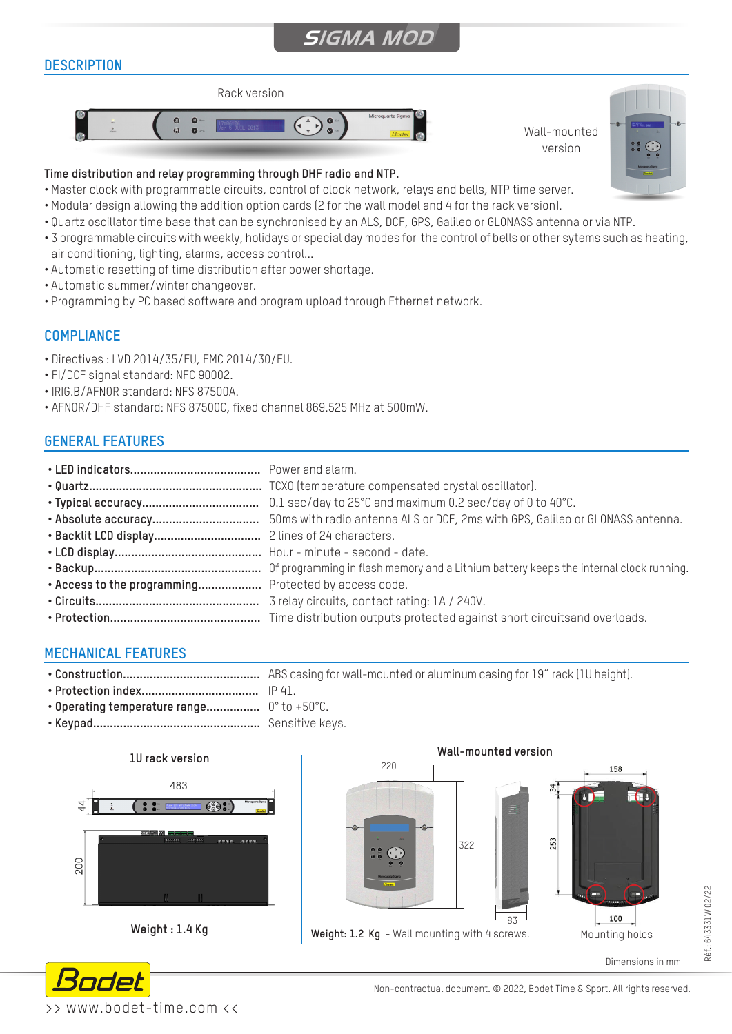# **SIGMA MOD**

# **DESCRIPTION**





## **Time distribution and relay programming through DHF radio and NTP.**

- Master clock with programmable circuits, control of clock network, relays and bells, NTP time server.
- Modular design allowing the addition option cards (2 for the wall model and 4 for the rack version).
- Quartz oscillator time base that can be synchronised by an ALS, DCF, GPS, Galileo or GLONASS antenna or via NTP.
- 3 programmable circuits with weekly, holidays or special day modes for the control of bells or other sytems such as heating, air conditioning, lighting, alarms, access control...
- Automatic resetting of time distribution after power shortage.
- Automatic summer/winter changeover.
- Programming by PC based software and program upload through Ethernet network.

#### **COMPLIANCE**

- Directives : LVD 2014/35/EU, EMC 2014/30/EU.
- FI/DCF signal standard: NFC 90002.
- IRIG.B/AFNOR standard: NFS 87500A.
- AFNOR/DHF standard: NFS 87500C, fixed channel 869.525 MHz at 500mW.

# **GENERAL FEATURES**

| . Access to the programming Protected by access code. |  |
|-------------------------------------------------------|--|
|                                                       |  |

### **MECHANICAL FEATURES**

- **• Construction.........................................** ABS casing for wall-mounted or aluminum casing for 19˝ rack (1U height).
- **• Protection index...................................** IP 41.
- **• Operating temperature range................** 0° to +50°C.
- **• Keypad..................................................** Sensitive keys.



**Weight : 1.4 Kg**



Dimensions in mm



Non-contractual document. © 2022, Bodet Time & Sport. All rights reserved.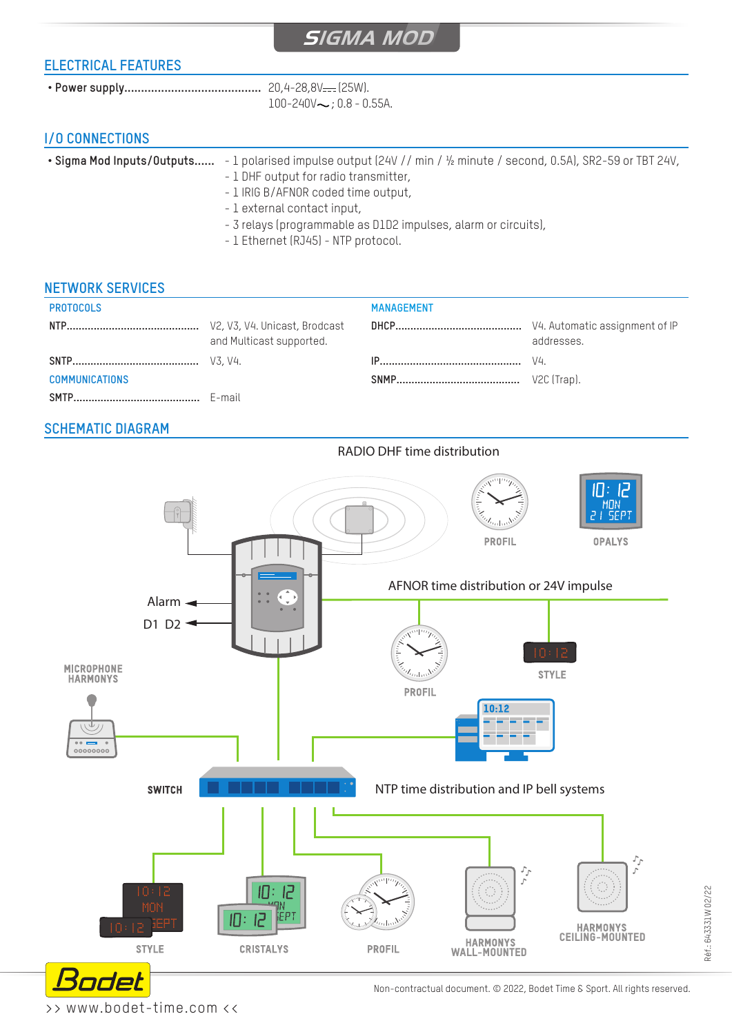## **ELECTRICAL FEATURES**

 $100 - 240V \sim 0.8 - 0.55A$ .

# **I/O CONNECTIONS**

| • Sigma Mod Inputs/Outputs | - 1 polarised impulse output (24V // min / $\frac{1}{2}$ minute / second, 0.5A), SR2-59 or TBT 24V, |  |
|----------------------------|-----------------------------------------------------------------------------------------------------|--|
|                            | $1$ DUE $\alpha$ utput for rodio tropomittor                                                        |  |

- 1 DHF output for radio transmitter,
- 1 IRIG B/AFNOR coded time output,
- 1 external contact input,
- 3 relays (programmable as D1D2 impulses, alarm or circuits),
- 1 Ethernet (RJ45) NTP protocol.

#### **NETWORK SERVICES**

| <b>PROTOCOLS</b>      |                          | <b>MANAGEMENT</b> |             |
|-----------------------|--------------------------|-------------------|-------------|
|                       | and Multicast supported. |                   | addresses.  |
|                       |                          |                   |             |
| <b>COMMUNICATIONS</b> |                          |                   | V2C (Trap). |
|                       |                          |                   |             |

### **SCHEMATIC DIAGRAM**

RADIO DHF time distribution



>> www.bodet-time.com <<

Non-contractual document. © 2022, Bodet Time & Sport. All rights reserved.